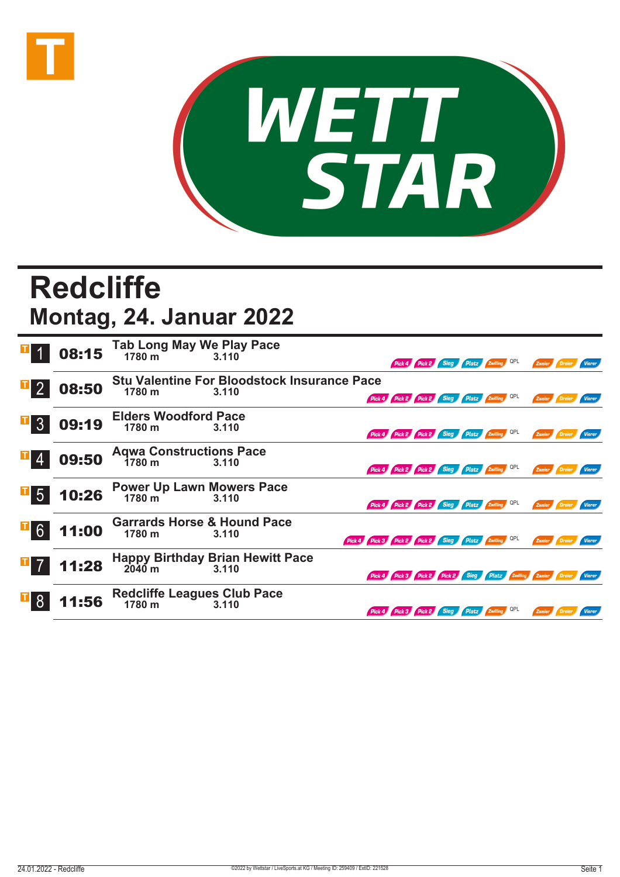



## **Redcliffe Montag, 24. Januar 2022**

|                | 08:15 | Tab Long May We Play Pace<br>1780 m<br>3.110 |                                                     |                                                               |                                 |             |                           |        |               |
|----------------|-------|----------------------------------------------|-----------------------------------------------------|---------------------------------------------------------------|---------------------------------|-------------|---------------------------|--------|---------------|
|                |       |                                              |                                                     |                                                               |                                 | <b>Sieg</b> | <b>Platz Zwilling</b> QPL | Zweier |               |
|                |       |                                              | <b>Stu Valentine For Bloodstock Insurance Pace</b>  |                                                               |                                 |             |                           |        |               |
|                | 08:50 | 1780 m                                       | 3.110                                               | Pick 4 Pick 2 Pick 2 Sieg Platz Zwilling QPL                  |                                 |             |                           | Zweier |               |
| I <br>3        |       | <b>Elders Woodford Pace</b>                  |                                                     |                                                               |                                 |             |                           |        |               |
|                | 09:19 | 1780 m                                       | 3.110                                               | Pick 4 Pick 2 Pick 2 Sieg Platz Zwilling QPL                  |                                 |             |                           | Zweier |               |
|                |       | <b>Aqwa Constructions Pace</b>               |                                                     |                                                               |                                 |             |                           |        |               |
|                | 09:50 | 1780 m                                       | 3.110                                               | Pick 4 Pick 2 Pick 2 Sieg Platz Zwilling                      |                                 |             |                           | Zweier | Vierer        |
|                | 10:26 | Power Up Lawn Mowers Pace<br>1780 m<br>3.110 |                                                     |                                                               |                                 |             |                           |        |               |
|                |       |                                              |                                                     | Pick 4 Pick 2 Pick 2 Sieg Platz Zwilling QPL                  |                                 |             |                           | Zweier | <b>Vierer</b> |
| $\mathbf{F}$ 6 |       | <b>Garrards Horse &amp; Hound Pace</b>       |                                                     |                                                               |                                 |             |                           |        |               |
|                | 11:00 | 1780 m                                       | 3.110                                               | Pick 4 Pick 3 Pick 2 Pick 2 Sieg Platz Zwilling QPL           |                                 |             |                           | Zweier |               |
| $\mathbf{I}$ 7 |       |                                              | Happy Birthday Brian Hewitt Pace<br>2040 m<br>3.110 |                                                               |                                 |             |                           |        |               |
|                | 11:28 |                                              |                                                     | Pick 4 Pick 3 Pick 2 Pick 2 Sieg Platz Zwilling Zweier Dreier |                                 |             |                           |        |               |
|                |       | <b>Redcliffe Leagues Club Pace</b>           |                                                     |                                                               |                                 |             |                           |        |               |
|                | 11:56 | 1780 m                                       | 3.110                                               |                                                               | Pick 4 Pick 3 Pick 2 Sieg Platz |             |                           |        |               |
|                |       |                                              |                                                     |                                                               |                                 |             |                           |        |               |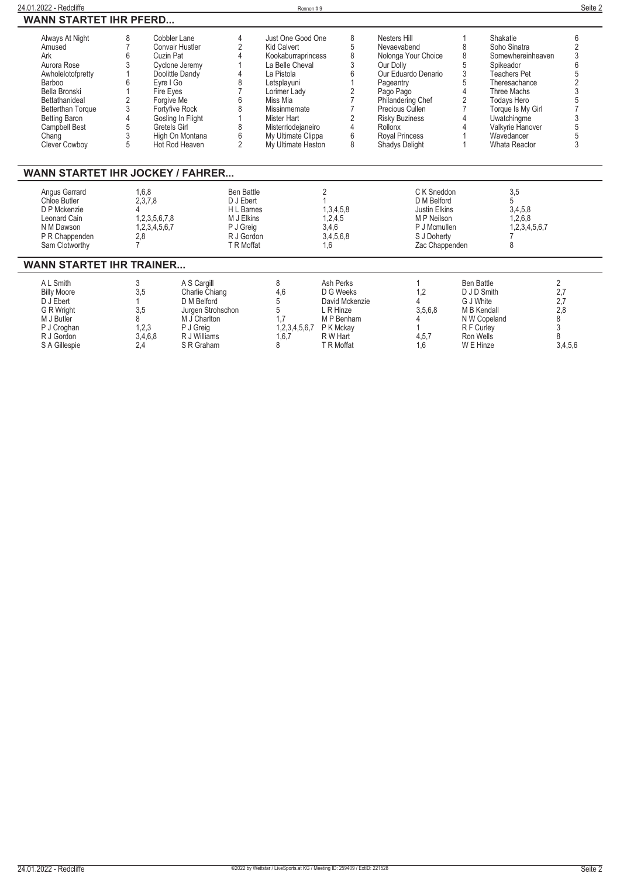| 24.01.2022 - Redcliffe                                                                                                                                                                                                  |                                                                                                              |                                                                                                                                                         |                                                                                                     | Rennen#9                                                                                                                                                                                                                                   |                                                                                                            |                                                                                                                                                                                                                                                |                                                                                                                      |                                                                                                                                                                                                                                | Seite 2                                                       |
|-------------------------------------------------------------------------------------------------------------------------------------------------------------------------------------------------------------------------|--------------------------------------------------------------------------------------------------------------|---------------------------------------------------------------------------------------------------------------------------------------------------------|-----------------------------------------------------------------------------------------------------|--------------------------------------------------------------------------------------------------------------------------------------------------------------------------------------------------------------------------------------------|------------------------------------------------------------------------------------------------------------|------------------------------------------------------------------------------------------------------------------------------------------------------------------------------------------------------------------------------------------------|----------------------------------------------------------------------------------------------------------------------|--------------------------------------------------------------------------------------------------------------------------------------------------------------------------------------------------------------------------------|---------------------------------------------------------------|
| <b>WANN STARTET IHR PFERD</b>                                                                                                                                                                                           |                                                                                                              |                                                                                                                                                         |                                                                                                     |                                                                                                                                                                                                                                            |                                                                                                            |                                                                                                                                                                                                                                                |                                                                                                                      |                                                                                                                                                                                                                                |                                                               |
| Always At Night<br>Amused<br>Ark<br>Aurora Rose<br>Awholelotofpretty<br>Barboo<br>Bella Bronski<br>Bettathanideal<br><b>Betterthan Torque</b><br><b>Betting Baron</b><br>Campbell Best<br>Chang<br><b>Clever Cowboy</b> | 8<br>Cuzin Pat<br>Evre I Go<br>Fire Eyes<br>$\overline{2}$<br>Forgive Me<br>3<br>5<br>Gretels Girl<br>3<br>5 | Cobbler Lane<br>Convair Hustler<br>Cyclone Jeremy<br>Doolittle Dandy<br><b>Fortyfive Rock</b><br>Gosling In Flight<br>High On Montana<br>Hot Rod Heaven | 4<br>$\overline{2}$<br>8<br>6<br>8<br>8<br>6<br>$\overline{2}$                                      | Just One Good One<br><b>Kid Calvert</b><br>Kookaburraprincess<br>La Belle Cheval<br>La Pistola<br>Letsplayuni<br>Lorimer Ladv<br>Miss Mia<br>Missinmemate<br>Mister Hart<br>Misterriodejaneiro<br>My Ultimate Clippa<br>My Ultimate Heston | 8<br>5<br>8<br>3<br>ĥ<br>2<br>$\overline{7}$<br>2<br>$\overline{4}$<br>6<br>8                              | Nesters Hill<br>Nevaevabend<br>Nolonga Your Choice<br>Our Dolly<br>Our Eduardo Denario<br>Pageantry<br>Pago Pago<br>Philandering Chef<br>Precious Cullen<br><b>Risky Buziness</b><br>Rollonx<br><b>Royal Princess</b><br><b>Shadys Delight</b> | 8<br>8<br>5<br>3<br>5<br>4<br>$\overline{2}$                                                                         | Shakatie<br>Soho Sinatra<br>Somewhereinheaven<br>Spikeador<br><b>Teachers Pet</b><br>Theresachance<br>Three Machs<br><b>Todays Hero</b><br>Torque Is My Girl<br>Uwatchingme<br>Valkyrie Hanover<br>Wavedancer<br>Whata Reactor | 6<br>3                                                        |
| <b>WANN STARTET IHR JOCKEY / FAHRER</b>                                                                                                                                                                                 |                                                                                                              |                                                                                                                                                         |                                                                                                     |                                                                                                                                                                                                                                            |                                                                                                            |                                                                                                                                                                                                                                                |                                                                                                                      |                                                                                                                                                                                                                                |                                                               |
| Angus Garrard<br>Chloe Butler<br>D P Mckenzie<br>Leonard Cain<br>N M Dawson<br>P R Chappenden<br>Sam Clotworthy                                                                                                         | 1.6.8<br>2,3,7,8<br>1,2,3,5,6,7,8<br>1,2,3,4,5,6,7<br>2,8<br>$\overline{7}$                                  |                                                                                                                                                         | <b>Ben Battle</b><br>D J Ebert<br>H L Barnes<br>M J Elkins<br>P J Greig<br>R J Gordon<br>T R Moffat |                                                                                                                                                                                                                                            | $\overline{2}$<br>1,3,4,5,8<br>1,2,4,5<br>3,4,6<br>3,4,5,6,8<br>1.6                                        | C K Sneddon<br>D M Belford<br>Justin Elkins<br>M P Neilson<br>P J Mcmullen<br>S J Doherty<br>Zac Chappenden                                                                                                                                    |                                                                                                                      | 3,5<br>5<br>3,4,5,8<br>1,2,6,8<br>1,2,3,4,5,6,7<br>8                                                                                                                                                                           |                                                               |
| <b>WANN STARTET IHR TRAINER</b>                                                                                                                                                                                         |                                                                                                              |                                                                                                                                                         |                                                                                                     |                                                                                                                                                                                                                                            |                                                                                                            |                                                                                                                                                                                                                                                |                                                                                                                      |                                                                                                                                                                                                                                |                                                               |
| A L Smith<br><b>Billy Moore</b><br>D J Ebert<br>G R Wright<br>M J Butler<br>P J Croghan<br>R J Gordon<br>S A Gillespie                                                                                                  | 3<br>3,5<br>$\mathbf{1}$<br>3,5<br>8<br>1,2,3<br>3,4,6,8<br>2,4                                              | A S Cargill<br>Charlie Chiang<br>D M Belford<br>Jurgen Strohschon<br>M J Charlton<br>P J Greig<br>R J Williams<br>S R Graham                            |                                                                                                     | 8<br>4,6<br>5<br>5<br>1.7<br>1,2,3,4,5,6,7<br>1,6,7<br>8                                                                                                                                                                                   | Ash Perks<br>D G Weeks<br>David Mckenzie<br>L R Hinze<br>M P Benham<br>P K Mckay<br>R W Hart<br>T R Moffat | 1<br>1,2<br>4<br>3,5,6,8<br>4,5,7<br>1.6                                                                                                                                                                                                       | <b>Ben Battle</b><br>D J D Smith<br>G J White<br>M B Kendall<br>N W Copeland<br>R F Curley<br>Ron Wells<br>W E Hinze |                                                                                                                                                                                                                                | $\overline{2}$<br>2,7<br>2,7<br>2,8<br>8<br>3<br>8<br>3,4,5,6 |

 $\overline{a}$ 

 $\overline{\phantom{0}}$  $\overline{a}$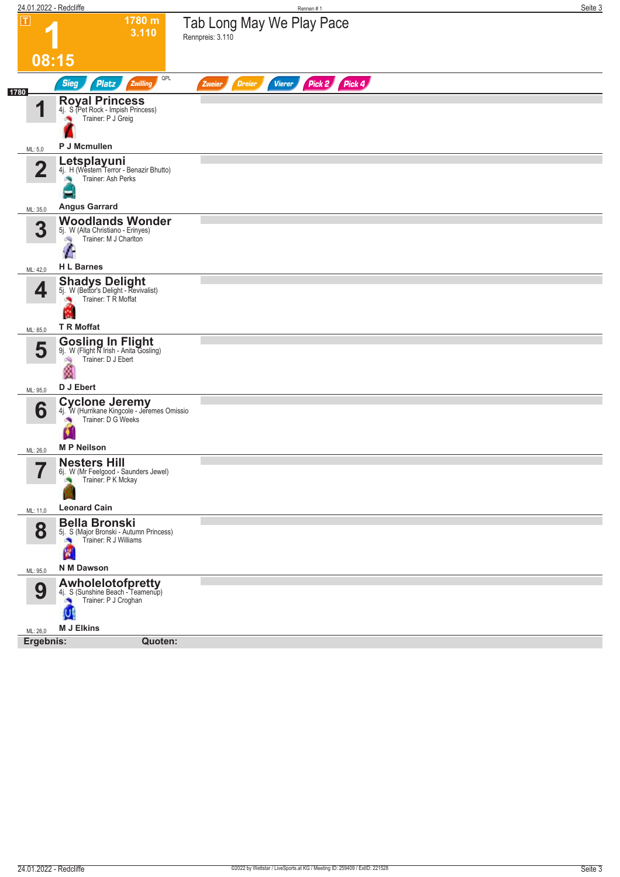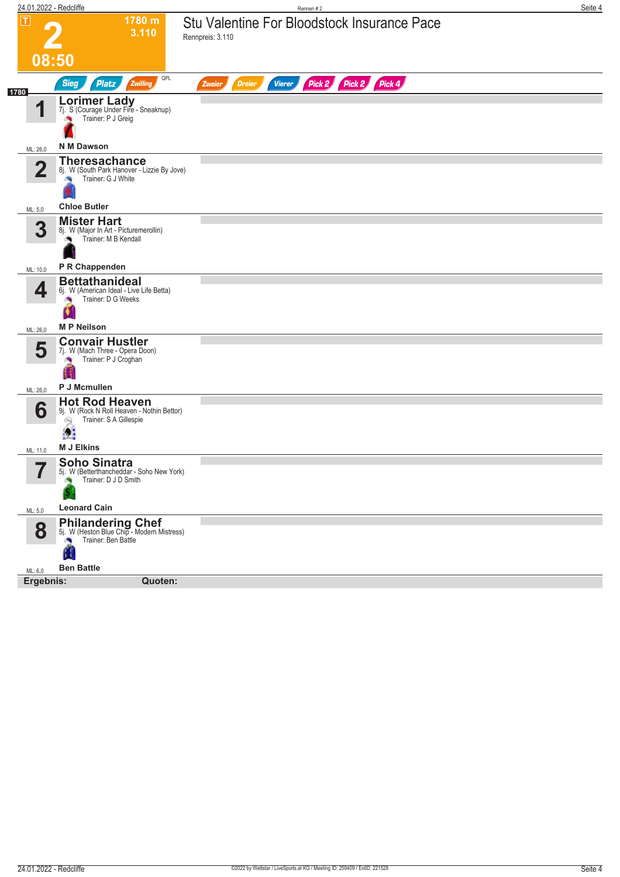| 24.01.2022 - Redcliffe  |                                                                                                    | Rennen #2                                                        | Seite 4 |
|-------------------------|----------------------------------------------------------------------------------------------------|------------------------------------------------------------------|---------|
| $\mathbf \Pi$<br>08:50  | 1780 m<br>3.110                                                                                    | Stu Valentine For Bloodstock Insurance Pace<br>Rennpreis: 3.110  |         |
|                         | QPL<br><b>Sieg</b><br><b>Platz</b><br>Zwilling                                                     | Pick 2 Pick 2 Pick 4<br><b>Dreier</b><br><b>Vierer</b><br>Zweier |         |
| 1780<br>И               | Lorimer Lady<br>7j. S (Courage Under Fire - Sneaknup)<br>Trainer: P J Greig                        |                                                                  |         |
| ML: 26,0                | <b>N M Dawson</b>                                                                                  |                                                                  |         |
| $\mathbf 2$             | <b>Theresachance</b><br>8j. W (South Park Hanover - Lizzie By Jove)<br>Trainer: G J White          |                                                                  |         |
| ML: 5,0                 | <b>Chloe Butler</b>                                                                                |                                                                  |         |
| $\overline{\mathbf{3}}$ | <b>Mister Hart</b><br>8j. W (Major In Art - Picturemerollin)<br>Trainer: M B Kendall               |                                                                  |         |
| ML: 10,0                | P R Chappenden                                                                                     |                                                                  |         |
| 4<br>×.                 | <b>Bettathanideal</b><br>6j. W (American Ideal - Live Life Betta)<br>Trainer: D G Weeks            |                                                                  |         |
| ML: 26,0                | <b>MP</b> Neilson                                                                                  |                                                                  |         |
| 5                       | <b>Convair Hustler</b><br>7j. W (Mach Three - Opera Doon)<br>Trainer: P J Croghan                  |                                                                  |         |
| ML: 26,0                | P J Mcmullen                                                                                       |                                                                  |         |
| 6<br>â,                 | <b>Hot Rod Heaven</b><br>9j. W (Rock N Roll Heaven - Nothin Bettor)<br>Trainer: S A Gillespie<br>Œ |                                                                  |         |
| ML: 11,0                | <b>M J Elkins</b>                                                                                  |                                                                  |         |
| 57<br>ı                 | <b>Soho Sinatra</b><br>5j. W (Betterthancheddar - Soho New York)<br>Trainer: D J D Smith           |                                                                  |         |
| ML: 5,0                 | <b>Leonard Cain</b>                                                                                |                                                                  |         |
| 8                       | Philandering Chef<br>5j. W (Heston Blue Chip - Modern Mistress)<br>Trainer: Ben Battle             |                                                                  |         |
| ML: 6,0                 | <b>Ben Battle</b>                                                                                  |                                                                  |         |
| Ergebnis:               | Quoten:                                                                                            |                                                                  |         |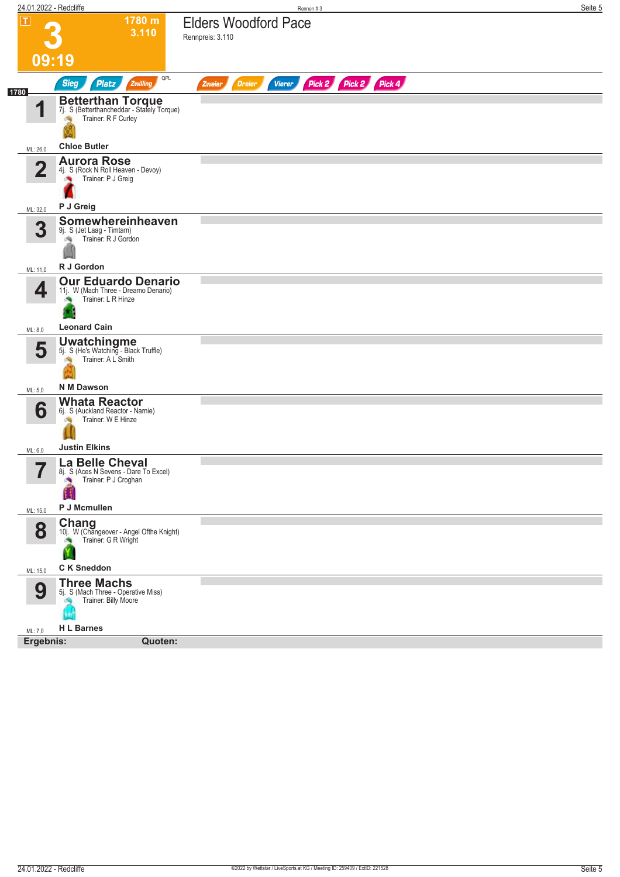|                                            | 24.01.2022 - Redcliffe                                                                                 | Rennen#3                                                  | Seite 5 |
|--------------------------------------------|--------------------------------------------------------------------------------------------------------|-----------------------------------------------------------|---------|
| $\boxed{\text{T}}$                         | 1780 m<br>3.110                                                                                        | <b>Elders Woodford Pace</b><br>Rennpreis: 3.110           |         |
|                                            | 09:19                                                                                                  |                                                           |         |
| 1780                                       | QPL<br><b>Sieg</b><br>Zwilling<br><b>Platz</b>                                                         | Pick 2 Pick 2 Pick 4<br>Vierer<br><b>Dreier</b><br>Zweier |         |
| 4                                          | <b>Betterthan Torque</b><br>7j. S (Betterthancheddar - Stately Torque)<br>Trainer: R F Curley          |                                                           |         |
| ML: 26,0                                   | <b>Chloe Butler</b>                                                                                    |                                                           |         |
| $\mathbf 2$                                | <b>Aurora Rose</b><br>4j. S (Rock N Roll Heaven - Devoy)<br>Trainer: P J Greig                         |                                                           |         |
| ML: 32,0                                   | P J Greig                                                                                              |                                                           |         |
| 3                                          | Somewhereinheaven<br>9j. S (Jet Laag - Timtam)<br>Trainer: R J Gordon<br>淘                             |                                                           |         |
| ML: 11,0                                   | R J Gordon                                                                                             |                                                           |         |
| 4                                          | <b>Our Eduardo Denario</b><br>11j. W (Mach Three - Dreamo Denario)<br>Trainer: L R Hinze               |                                                           |         |
| ML: 8,0                                    | <b>Leonard Cain</b>                                                                                    |                                                           |         |
| 5                                          | <b>Uwatchingme</b><br>5j. S (He's Watching - Black Truffle)<br>Trainer: A L Smith<br><b>N M Dawson</b> |                                                           |         |
| ML: 5,0                                    |                                                                                                        |                                                           |         |
| 6                                          | <b>Whata Reactor</b><br>6j. S (Auckland Reactor - Narnie)<br>Trainer: W E Hinze<br>dia.                |                                                           |         |
| ML: 6,0                                    | <b>Justin Elkins</b>                                                                                   |                                                           |         |
| $\overline{\phantom{a}}$<br>$\blacksquare$ | La Belle Cheval<br>ზj. S (Aces N Sevens - Dare To Excel)<br>Trainer: P J Croghan<br>×<br>P J Mcmullen  |                                                           |         |
| ML: 15,0                                   |                                                                                                        |                                                           |         |
| 8                                          | Chang<br>10j. W (Changeover - Angel Ofthe Knight)<br>Trainer: G R Wright<br>×<br>Y                     |                                                           |         |
| ML: 15,0                                   | C K Sneddon                                                                                            |                                                           |         |
| 9                                          | <b>Three Machs</b><br>5j. S (Mach Three - Operative Miss)<br>Trainer: Billy Moore<br>6                 |                                                           |         |
| ML: 7,0                                    | <b>H L Barnes</b><br>Ergebnis:<br>Quoten:                                                              |                                                           |         |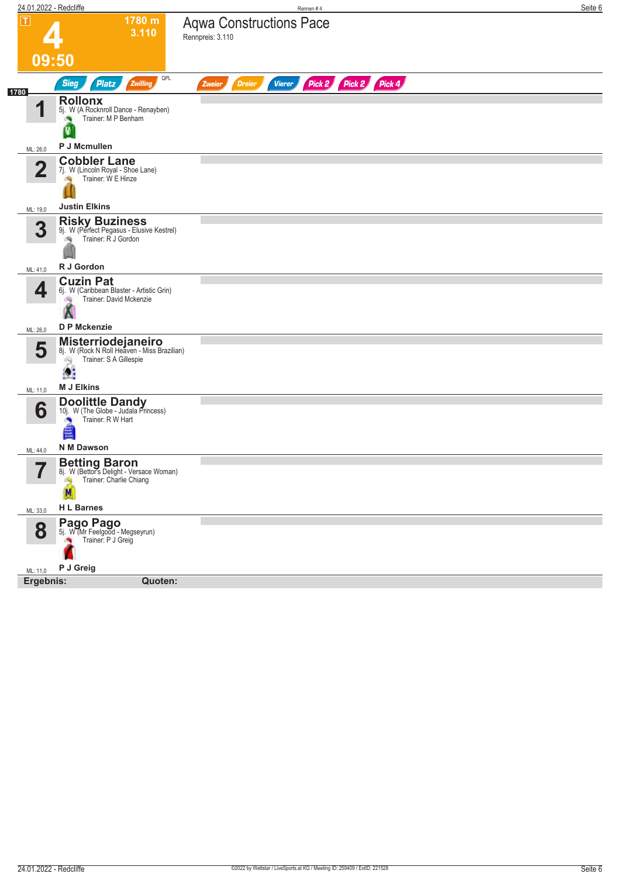| 24.01.2022 - Redcliffe |                                                                                                             | Rennen #4                                                        | Seite 6 |
|------------------------|-------------------------------------------------------------------------------------------------------------|------------------------------------------------------------------|---------|
| $ \mathsf{T} $         | 1780 m<br>3.110                                                                                             | <b>Aqwa Constructions Pace</b><br>Rennpreis: 3.110               |         |
|                        | 09:50                                                                                                       |                                                                  |         |
| 1780                   | QPL<br><b>Sieg</b><br><b>Platz</b><br>Zwilling                                                              | Pick 2 Pick 2 Pick 4<br><b>Dreier</b><br><b>Vierer</b><br>Zweier |         |
| И                      | <b>Rollonx</b><br>5j. W (A Rocknroll Dance - Renayben)<br>Trainer: M P Benham<br>V                          |                                                                  |         |
| ML: 26,0               | P J Mcmullen                                                                                                |                                                                  |         |
| $\mathbf 2$            | <b>Cobbler Lane</b><br>7j. W (Lincoln Royal - Shoe Lane)<br>Trainer: W E Hinze                              |                                                                  |         |
| ML: 19,0               | <b>Justin Elkins</b>                                                                                        |                                                                  |         |
| 3                      | <b>Risky Buziness</b><br>9j. W (Perfect Pegasus - Elusive Kestrel)<br>Trainer: R J Gordon                   |                                                                  |         |
| ML: 41,0               | R J Gordon                                                                                                  |                                                                  |         |
| 4                      | <b>Cuzin Pat</b><br>6j. W (Caribbean Blaster - Artistic Grin)<br>Trainer: David Mckenzie<br>肉               |                                                                  |         |
| ML: 26,0               | D P Mckenzie                                                                                                |                                                                  |         |
| 5                      | Misterriodejaneiro<br>8j. W (Rock N Roll Heaven - Miss Brazilian)<br>Trainer: S A Gillespie<br>69<br>ß.     |                                                                  |         |
| ML: 11,0               | <b>M J Elkins</b>                                                                                           |                                                                  |         |
| 6                      | <b>Doolittle Dandy</b><br>10j. W (The Globe - Judala Princess)<br>Trainer: R W Hart<br>×<br>≝<br>N M Dawson |                                                                  |         |
| ML: 44,0               |                                                                                                             |                                                                  |         |
| 57<br>ı                | <b>Betting Baron</b><br>8j. W (Bettor's Delight - Versace Woman)<br>Trainer: Charlie Chiang<br>М            |                                                                  |         |
| ML: 33,0               | <b>HL Barnes</b>                                                                                            |                                                                  |         |
| 8                      | <b>Pago Pago</b><br>5j. W (Mr Feelgood - Megseyrun)<br>Trainer: P J Greig                                   |                                                                  |         |
| ML: 11,0               | P J Greig                                                                                                   |                                                                  |         |
| Ergebnis:              | Quoten:                                                                                                     |                                                                  |         |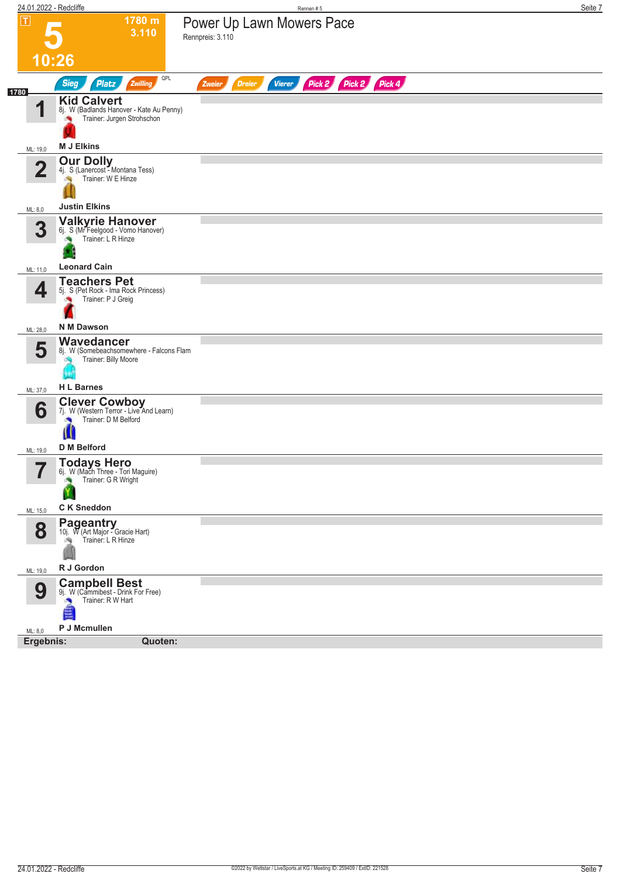| 24.01.2022 - Redcliffe  |                                                                                                      | Rennen#5                                                  | Seite 7 |
|-------------------------|------------------------------------------------------------------------------------------------------|-----------------------------------------------------------|---------|
| П                       | 1780 m<br>3.110                                                                                      | Power Up Lawn Mowers Pace<br>Rennpreis: 3.110             |         |
|                         | 10:26                                                                                                |                                                           |         |
|                         | QPL<br><b>Sieg</b><br><b>Platz</b><br>Zwilling                                                       | Pick 2 Pick 2 Pick 4<br><b>Dreier</b><br>Vierer<br>Zweier |         |
| 1780<br>И               | <b>Kid Calvert</b><br>8j. W (Badlands Hanover - Kate Au Penny)<br>Trainer: Jurgen Strohschon         |                                                           |         |
| ML: 19,0                | <b>M J Elkins</b>                                                                                    |                                                           |         |
| $\overline{\mathbf{2}}$ | <b>Our Dolly</b><br>4j. S (Lanercost - Montana Tess)<br>Trainer: W E Hinze<br><b>Justin Elkins</b>   |                                                           |         |
| ML: 8,0                 |                                                                                                      |                                                           |         |
| 3                       | Valkyrie Hanover<br>6j. S (Mr Feelgood - Vomo Hanover)<br>Trainer: L R Hinze                         |                                                           |         |
| ML: 11,0                | <b>Leonard Cain</b>                                                                                  |                                                           |         |
| 4                       | <b>Teachers Pet</b><br>5j. S (Pet Rock - Ima Rock Princess)<br>Trainer: P J Greig                    |                                                           |         |
| ML: 28,0                | <b>N M Dawson</b>                                                                                    |                                                           |         |
| 5                       | Wavedancer<br>8j. W (Somebeachsomewhere - Falcons Flam<br>Trainer: Billy Moore                       |                                                           |         |
| ML: 37,0                | <b>H L Barnes</b>                                                                                    |                                                           |         |
| 6                       | <b>Clever Cowboy</b><br>7j. W (Western Terror - Live And Learn)<br>Trainer: D M Belford<br>Ш         |                                                           |         |
| ML: 19,0                | <b>D</b> M Belford                                                                                   |                                                           |         |
| 57                      | <b>Todays Hero</b><br>6j. W (Mach Three - Tori Maguire)<br>Trainer: G R Wright                       |                                                           |         |
| ML: 15,0                | <b>CK Sneddon</b>                                                                                    |                                                           |         |
| 8                       | <b>Pageantry</b><br>10j. W (Art Major - Gracie Hart)<br>Trainer: L R Hinze                           |                                                           |         |
| ML: 19,0                | R J Gordon                                                                                           |                                                           |         |
| 9<br>ML: 8,0            | <b>Campbell Best</b><br>9j. W (Cammibest - Drink For Free)<br>Trainer: R W Hart<br>≜<br>P J Mcmullen |                                                           |         |
| Ergebnis:               | Quoten:                                                                                              |                                                           |         |
|                         |                                                                                                      |                                                           |         |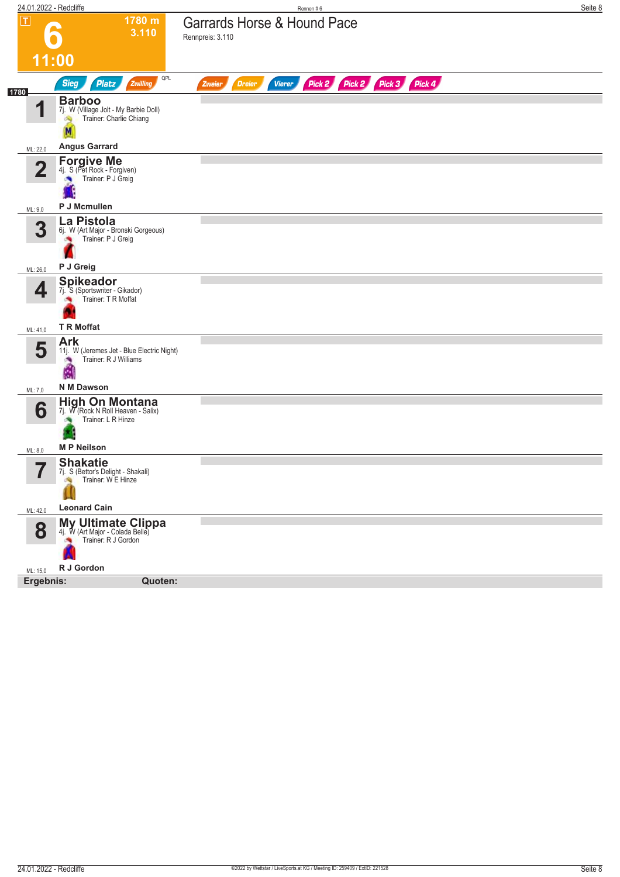| 24.01.2022 - Redcliffe<br>Rennen#6                                                                                         | Seite 8 |
|----------------------------------------------------------------------------------------------------------------------------|---------|
| $\boxed{\mathbf{T}}$<br>1780 m<br>Garrards Horse & Hound Pace<br>3.110<br>Rennpreis: 3.110                                 |         |
|                                                                                                                            |         |
| 11:00<br>QPL                                                                                                               |         |
| Pick 2 Pick 2 Pick 3 Pick 4<br>Zwilling<br><b>Sieg</b><br><b>Platz</b><br><b>Dreier</b><br><b>Vierer</b><br>Zweier<br>1780 |         |
| <b>Barboo</b><br>И<br>$7j$ . W (Village Jolt - My Barbie Doll)<br><b>Example:</b> Charlie Chiang                           |         |
| <b>Angus Garrard</b><br>ML: 22,0                                                                                           |         |
| <b>Forgive Me</b><br>4j. S (Pet Rock - Forgiven)<br>$\overline{\mathbf{2}}$<br>Trainer: P J Greig                          |         |
| P J Mcmullen<br>ML: 9,0                                                                                                    |         |
| La Pistola<br>3<br>6j. W (Art Major - Bronski Gorgeous)<br>Trainer: P J Greig                                              |         |
| P J Greig<br>ML: 26,0                                                                                                      |         |
| <b>Spikeador</b><br>4<br>7j. S (Sportswriter - Gikador)<br>Trainer: TR Moffat                                              |         |
| <b>T R Moffat</b><br>ML: 41,0                                                                                              |         |
| <b>Ark</b><br>5<br>11j. W (Jeremes Jet - Blue Electric Night)<br>Trainer: R J Williams<br>×<br>飍                           |         |
| N M Dawson<br>ML: 7,0                                                                                                      |         |
| <b>High On Montana</b><br>6<br>7j. W (Rock N Roll Heaven - Salix)<br>Trainer: L R Hinze<br><b>MP Neilson</b><br>ML: 8,0    |         |
| <b>Shakatie</b><br>7                                                                                                       |         |
| 7j. S (Bettor's Delight - Shakali)<br>,<br>Trainer: WE Hinze                                                               |         |
| <b>Leonard Cain</b><br>ML: 42,0                                                                                            |         |
| <b>My Ultimate Clippa</b><br>4. W (Art Major - Colada Belle)<br>Trainer: R J Gordon<br>8                                   |         |
| R J Gordon<br>ML: 15,0                                                                                                     |         |
| Ergebnis:<br>Quoten:                                                                                                       |         |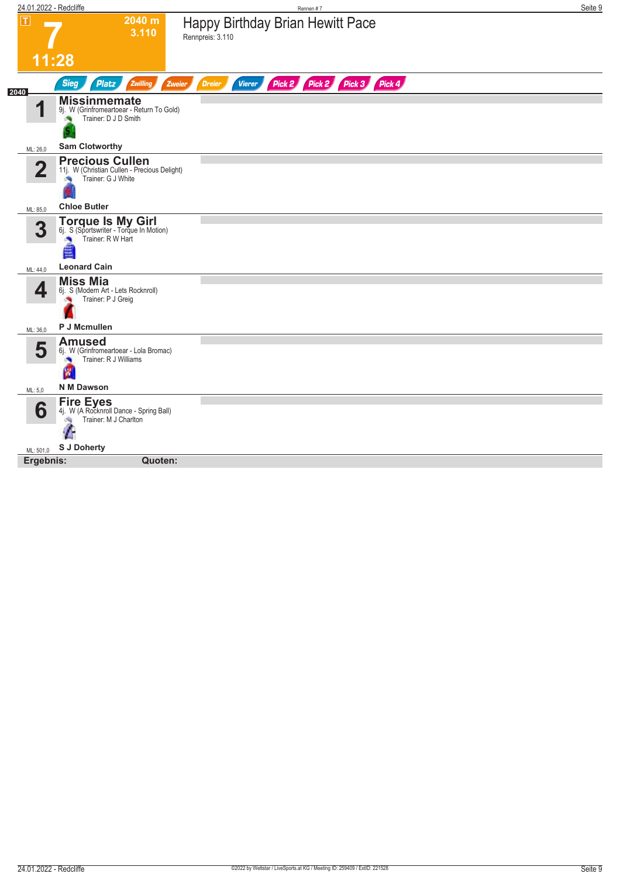| 24.01.2022 - Redcliffe  | Rennen#7                                                                                                       | Seite 9 |
|-------------------------|----------------------------------------------------------------------------------------------------------------|---------|
| $\overline{\mathbf{r}}$ | 2040 m<br>Happy Birthday Brian Hewitt Pace<br>3.110<br>Rennpreis: 3.110                                        |         |
|                         | 11:28                                                                                                          |         |
| 2040                    | Pick 2 Pick 3 Pick 4<br><b>Sieg</b><br>Pick 2<br><b>Platz</b><br>Zwilling<br>Vierer<br>Zweier<br><b>Dreier</b> |         |
| 1                       | <b>Missinmemate</b><br>9j. W (Grinfromeartoear - Return To Gold)<br>Trainer: D J D Smith                       |         |
| ML: 26,0                | <b>Sam Clotworthy</b>                                                                                          |         |
| $\overline{\mathbf{2}}$ | <b>Precious Cullen</b><br>11j. W (Christian Cullen - Precious Delight)<br>Trainer: G J White                   |         |
| ML: 85,0                | <b>Chloe Butler</b>                                                                                            |         |
| 3                       | <b>Torque Is My Girl</b><br>6j. S (Sportswriter - Torque In Motion)<br>Trainer: R W Hart<br>٠<br>图             |         |
| ML: 44,0                | <b>Leonard Cain</b>                                                                                            |         |
| 4<br>ML: 36,0           | <b>Miss Mia</b><br>6j. S (Modern Art - Lets Rocknroll)<br>Trainer: P J Greig<br>P J Mcmullen                   |         |
|                         | <b>Amused</b>                                                                                                  |         |
| 5                       | 6j. W (Grinfromeartoear - Lola Bromac)<br>Trainer: R J Williams<br>×<br>웹                                      |         |
| ML: 5,0                 | N M Dawson                                                                                                     |         |
| 6                       | <b>Fire Eyes</b><br>4j. W (A Rockhroll Dance - Spring Ball)<br>Trainer: M J Charlton<br>dia.<br>Æ              |         |
| ML: 501,0               | <b>S J Doherty</b>                                                                                             |         |
| Ergebnis:               | Quoten:                                                                                                        |         |